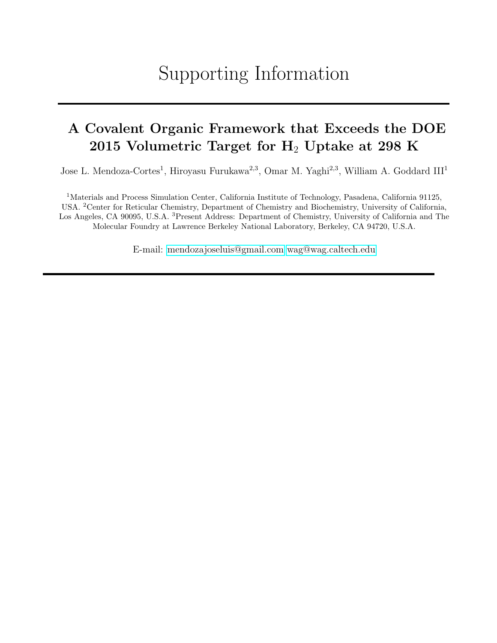## Supporting Information

### <span id="page-0-0"></span>A Covalent Organic Framework that Exceeds the DOE 2015 Volumetric Target for  $H_2$  Uptake at 298 K

Jose L. Mendoza-Cortes<sup>1</sup>, Hiroyasu Furukawa<sup>2,3</sup>, Omar M. Yaghi<sup>2,3</sup>, William A. Goddard III<sup>1</sup>

<sup>1</sup>Materials and Process Simulation Center, California Institute of Technology, Pasadena, California 91125, USA. <sup>2</sup>Center for Reticular Chemistry, Department of Chemistry and Biochemistry, University of California, Los Angeles, CA 90095, U.S.A. <sup>3</sup>Present Address: Department of Chemistry, University of California and The Molecular Foundry at Lawrence Berkeley National Laboratory, Berkeley, CA 94720, U.S.A.

E-mail: [mendozajoseluis@gmail.com](mailto:mendozajoseluis@gmail.com) [wag@wag.caltech.edu](mailto:wag@wag.caltech.edu)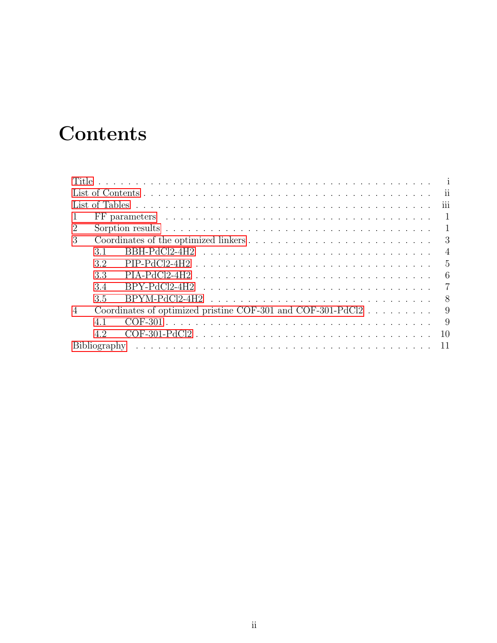# <span id="page-1-0"></span>**Contents**

| $\overline{2}$ |     |                                                             |                |
|----------------|-----|-------------------------------------------------------------|----------------|
| 3              |     |                                                             |                |
|                | 3.1 |                                                             |                |
|                | 3.2 |                                                             |                |
|                | 3.3 |                                                             | 6              |
|                | 3.4 |                                                             | $\overline{7}$ |
|                | 3.5 |                                                             |                |
| $\overline{4}$ |     | Coordinates of optimized pristine COF-301 and COF-301-PdCl2 | 9              |
|                | 4.1 |                                                             | 9              |
|                | 4.2 | COF-301-PdCl2                                               | <sup>10</sup>  |
|                |     |                                                             |                |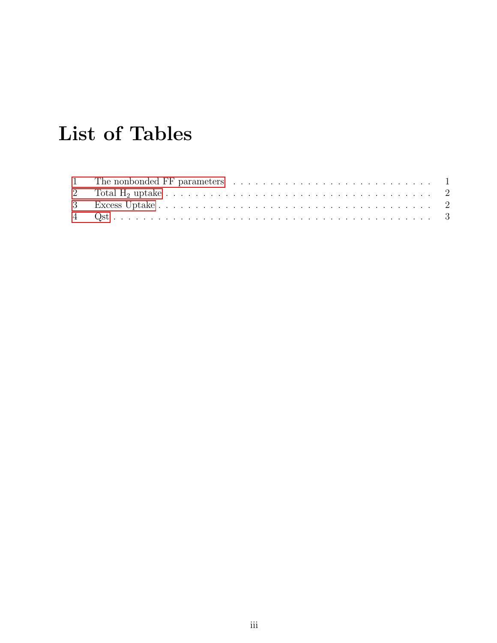# <span id="page-2-0"></span>List of Tables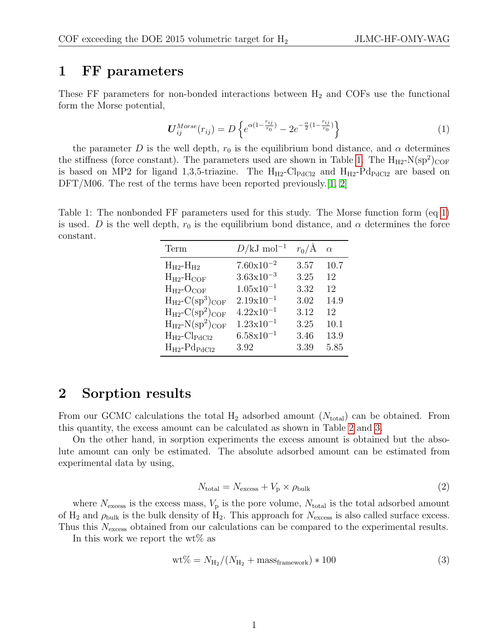#### <span id="page-3-0"></span>1 FF parameters

<span id="page-3-3"></span>These FF parameters for non-bonded interactions between  $H_2$  and COFs use the functional form the Morse potential,

$$
\boldsymbol{U}_{ij}^{Morse}(r_{ij}) = D \left\{ e^{\alpha (1 - \frac{r_{ij}}{r_0})} - 2e^{-\frac{\alpha}{2}(1 - \frac{r_{ij}}{r_0})} \right\} \tag{1}
$$

the parameter D is the well depth,  $r_0$  is the equilibrium bond distance, and  $\alpha$  determines the stiffness (force constant). The parameters used are shown in Table [1.](#page-3-2) The  $H_{H2}$ -N(sp<sup>2</sup>)<sub>COF</sub> is based on MP2 for ligand 1,3,5-triazine. The  $H_{H2}$ -Cl<sub>PdCl2</sub> and  $H_{H2}$ -Pd<sub>PdCl2</sub> are based on DFT/M06. The rest of the terms have been reported previously. [\[1,](#page-13-0) [2\]](#page-13-1)

<span id="page-3-2"></span>Table 1: The nonbonded FF parameters used for this study. The Morse function form (eq [1\)](#page-3-3) is used. D is the well depth,  $r_0$  is the equilibrium bond distance, and  $\alpha$  determines the force constant.

| Term                                         | $D/kJ \text{ mol}^{-1}$   | $r_0/\text{\AA}$ | $\alpha$ |
|----------------------------------------------|---------------------------|------------------|----------|
| $H_{H2}$ - $H_{H2}$                          | $7.60 \times 10^{-2}$     | 3.57             | 10.7     |
| $H_{H2}$ - $H_{COF}$                         | $3.63 \times 10^{-3}$     | 3.25             | 12       |
| $H_{H2}$ -O <sub>COF</sub>                   | $1.05x10^{-1}$            | 3.32             | 12       |
| $H_{H2}$ -C(sp <sup>3</sup> ) <sub>COF</sub> | $2.19x10^{-1}$            | 3.02             | 14.9     |
| $H_{H2}$ -C(sp <sup>2</sup> ) <sub>COF</sub> | $4.22 \times 10^{-1}$     | 3.12             | 12       |
| $H_{H2}$ -N(sp <sup>2</sup> ) <sub>COF</sub> | $1.23 \times 10^{-1}$     | 3.25             | 10.1     |
| $H_{H2}$ -Cl <sub>PdCl2</sub>                | $6.58 \mathrm{x} 10^{-1}$ | 3.46             | 13.9     |
| $H_{H2}$ - $P_{QPdCl2}$                      | 3.92                      | 3.39             | 5.85     |

#### <span id="page-3-1"></span>2 Sorption results

From our GCMC calculations the total  $H_2$  adsorbed amount  $(N_{total})$  can be obtained. From this quantity, the excess amount can be calculated as shown in Table [2](#page-4-0) and [3.](#page-4-1)

On the other hand, in sorption experiments the excess amount is obtained but the absolute amount can only be estimated. The absolute adsorbed amount can be estimated from experimental data by using,

$$
N_{\text{total}} = N_{\text{excess}} + V_{\text{p}} \times \rho_{\text{bulk}} \tag{2}
$$

where  $N_{\text{excess}}$  is the excess mass,  $V_p$  is the pore volume,  $N_{\text{total}}$  is the total adsorbed amount of  $H_2$  and  $\rho_{\text{bulk}}$  is the bulk density of  $H_2$ . This approach for  $N_{\text{excess}}$  is also called surface excess. Thus this  $N_{\text{excess}}$  obtained from our calculations can be compared to the experimental results.

In this work we report the  $wt\%$  as

$$
\text{wt\%} = N_{\text{H}_2} / (N_{\text{H}_2} + \text{mass}_{\text{framework}}) * 100 \tag{3}
$$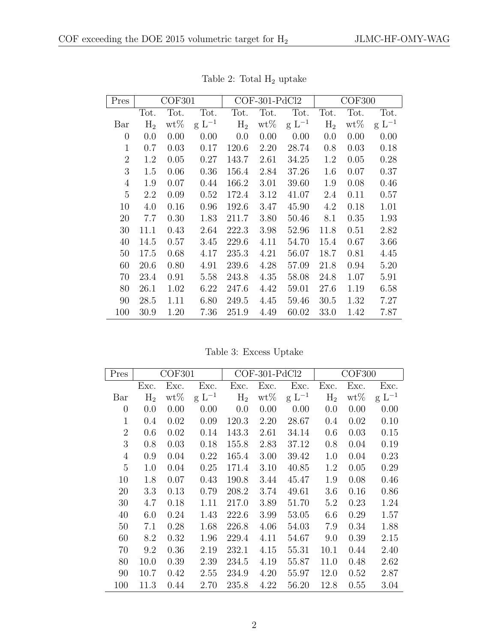| Pres           |       | COF301 |            |                | $COF-301-PdCl2$ |            |                | COF300 |            |
|----------------|-------|--------|------------|----------------|-----------------|------------|----------------|--------|------------|
|                | Tot.  | Tot.   | Tot.       | Tot.           | Tot.            | Tot.       | Tot.           | Tot.   | Tot.       |
| Bar            | $H_2$ | $wt\%$ | $g L^{-1}$ | H <sub>2</sub> | $wt\%$          | $g L^{-1}$ | H <sub>2</sub> | $wt\%$ | $g L^{-1}$ |
| $\overline{0}$ | 0.0   | 0.00   | 0.00       | 0.0            | 0.00            | 0.00       | 0.0            | 0.00   | 0.00       |
| $\mathbf{1}$   | 0.7   | 0.03   | 0.17       | 120.6          | 2.20            | 28.74      | 0.8            | 0.03   | 0.18       |
| $\overline{2}$ | 1.2   | 0.05   | 0.27       | 143.7          | 2.61            | 34.25      | 1.2            | 0.05   | 0.28       |
| 3              | 1.5   | 0.06   | 0.36       | 156.4          | 2.84            | 37.26      | 1.6            | 0.07   | 0.37       |
| $\overline{4}$ | 1.9   | 0.07   | 0.44       | 166.2          | 3.01            | 39.60      | 1.9            | 0.08   | 0.46       |
| 5              | 2.2   | 0.09   | 0.52       | 172.4          | 3.12            | 41.07      | 2.4            | 0.11   | 0.57       |
| 10             | 4.0   | 0.16   | 0.96       | 192.6          | 3.47            | 45.90      | 4.2            | 0.18   | 1.01       |
| 20             | 7.7   | 0.30   | 1.83       | 211.7          | 3.80            | 50.46      | 8.1            | 0.35   | 1.93       |
| 30             | 11.1  | 0.43   | 2.64       | 222.3          | 3.98            | 52.96      | 11.8           | 0.51   | 2.82       |
| 40             | 14.5  | 0.57   | 3.45       | 229.6          | 4.11            | 54.70      | 15.4           | 0.67   | 3.66       |
| 50             | 17.5  | 0.68   | 4.17       | 235.3          | 4.21            | 56.07      | 18.7           | 0.81   | 4.45       |
| 60             | 20.6  | 0.80   | 4.91       | 239.6          | 4.28            | 57.09      | 21.8           | 0.94   | 5.20       |
| 70             | 23.4  | 0.91   | 5.58       | 243.8          | 4.35            | 58.08      | 24.8           | 1.07   | 5.91       |
| 80             | 26.1  | 1.02   | 6.22       | 247.6          | 4.42            | 59.01      | 27.6           | 1.19   | 6.58       |
| 90             | 28.5  | 1.11   | 6.80       | 249.5          | 4.45            | 59.46      | 30.5           | 1.32   | 7.27       |
| 100            | 30.9  | 1.20   | 7.36       | 251.9          | 4.49            | 60.02      | 33.0           | 1.42   | 7.87       |

<span id="page-4-0"></span>Table 2: Total  $\rm H_2$  uptake

<span id="page-4-1"></span>Table 3: Excess Uptake

| Pres           | COF301         |        | $COF-301-PdCl2$ |                |        | <b>COF300</b> |       |        |            |
|----------------|----------------|--------|-----------------|----------------|--------|---------------|-------|--------|------------|
|                | Exc.           | Exc.   | Exc.            | Exc.           | Exc.   | Exc.          | Exc.  | Exc.   | Exc.       |
| Bar            | H <sub>2</sub> | $wt\%$ | $g L^{-1}$      | H <sub>2</sub> | $wt\%$ | $g L^{-1}$    | $H_2$ | $wt\%$ | $g L^{-1}$ |
| $\overline{0}$ | 0.0            | 0.00   | 0.00            | 0.0            | 0.00   | 0.00          | 0.0   | 0.00   | 0.00       |
| 1              | 0.4            | 0.02   | 0.09            | 120.3          | 2.20   | 28.67         | 0.4   | 0.02   | 0.10       |
| $\overline{2}$ | 0.6            | 0.02   | 0.14            | 143.3          | 2.61   | 34.14         | 0.6   | 0.03   | 0.15       |
| 3              | 0.8            | 0.03   | 0.18            | 155.8          | 2.83   | 37.12         | 0.8   | 0.04   | 0.19       |
| $\overline{4}$ | 0.9            | 0.04   | 0.22            | 165.4          | 3.00   | 39.42         | 1.0   | 0.04   | 0.23       |
| 5              | 1.0            | 0.04   | 0.25            | 171.4          | 3.10   | 40.85         | 1.2   | 0.05   | 0.29       |
| 10             | 1.8            | 0.07   | 0.43            | 190.8          | 3.44   | 45.47         | 1.9   | 0.08   | 0.46       |
| 20             | 3.3            | 0.13   | 0.79            | 208.2          | 3.74   | 49.61         | 3.6   | 0.16   | 0.86       |
| 30             | 4.7            | 0.18   | 1.11            | 217.0          | 3.89   | 51.70         | 5.2   | 0.23   | 1.24       |
| 40             | 6.0            | 0.24   | 1.43            | 222.6          | 3.99   | 53.05         | 6.6   | 0.29   | 1.57       |
| 50             | 7.1            | 0.28   | 1.68            | 226.8          | 4.06   | 54.03         | 7.9   | 0.34   | 1.88       |
| 60             | 8.2            | 0.32   | 1.96            | 229.4          | 4.11   | 54.67         | 9.0   | 0.39   | 2.15       |
| 70             | 9.2            | 0.36   | 2.19            | 232.1          | 4.15   | 55.31         | 10.1  | 0.44   | 2.40       |
| 80             | 10.0           | 0.39   | 2.39            | 234.5          | 4.19   | 55.87         | 11.0  | 0.48   | 2.62       |
| 90             | 10.7           | 0.42   | 2.55            | 234.9          | 4.20   | 55.97         | 12.0  | 0.52   | 2.87       |
| 100            | 11.3           | 0.44   | 2.70            | 235.8          | 4.22   | 56.20         | 12.8  | 0.55   | 3.04       |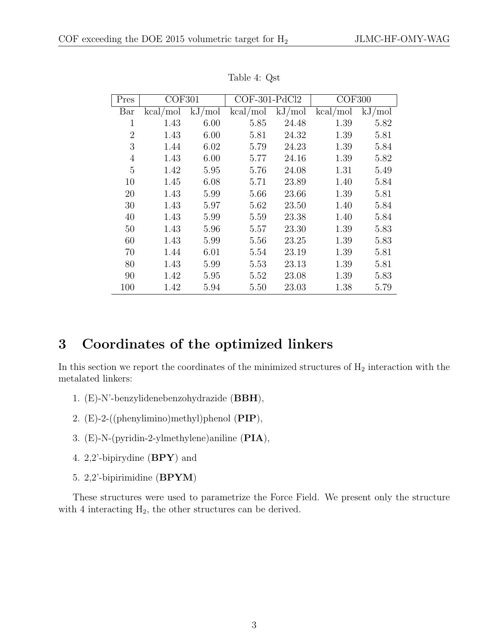| Pres           | COF301   |        | $COF-301-PdCl2$ |        | COF300   |        |
|----------------|----------|--------|-----------------|--------|----------|--------|
| Bar            | kcal/mol | kJ/mol | kcal/mol        | kJ/mol | kcal/mol | kJ/mol |
| 1              | 1.43     | 6.00   | 5.85            | 24.48  | 1.39     | 5.82   |
| $\overline{2}$ | 1.43     | 6.00   | 5.81            | 24.32  | 1.39     | 5.81   |
| 3              | 1.44     | 6.02   | 5.79            | 24.23  | 1.39     | 5.84   |
| 4              | 1.43     | 6.00   | 5.77            | 24.16  | 1.39     | 5.82   |
| 5              | 1.42     | 5.95   | 5.76            | 24.08  | 1.31     | 5.49   |
| 10             | 1.45     | 6.08   | 5.71            | 23.89  | 1.40     | 5.84   |
| 20             | 1.43     | 5.99   | 5.66            | 23.66  | 1.39     | 5.81   |
| 30             | 1.43     | 5.97   | 5.62            | 23.50  | 1.40     | 5.84   |
| 40             | 1.43     | 5.99   | 5.59            | 23.38  | 1.40     | 5.84   |
| 50             | 1.43     | 5.96   | 5.57            | 23.30  | 1.39     | 5.83   |
| 60             | 1.43     | 5.99   | 5.56            | 23.25  | 1.39     | 5.83   |
| 70             | 1.44     | 6.01   | 5.54            | 23.19  | 1.39     | 5.81   |
| 80             | 1.43     | 5.99   | 5.53            | 23.13  | 1.39     | 5.81   |
| 90             | 1.42     | 5.95   | 5.52            | 23.08  | 1.39     | 5.83   |
| 100            | 1.42     | 5.94   | 5.50            | 23.03  | 1.38     | 5.79   |

<span id="page-5-1"></span>Table 4: Qst

#### <span id="page-5-0"></span>3 Coordinates of the optimized linkers

In this section we report the coordinates of the minimized structures of  $H_2$  interaction with the metalated linkers:

- 1. (E)-N'-benzylidenebenzohydrazide (BBH),
- 2.  $(E)-2-$  ((phenylimino)methyl)phenol (PIP),
- 3. (E)-N-(pyridin-2-ylmethylene)aniline (PIA),
- 4. 2,2'-bipirydine  $(BPY)$  and
- 5. 2,2'-bipirimidine (BPYM)

These structures were used to parametrize the Force Field. We present only the structure with 4 interacting  $H_2$ , the other structures can be derived.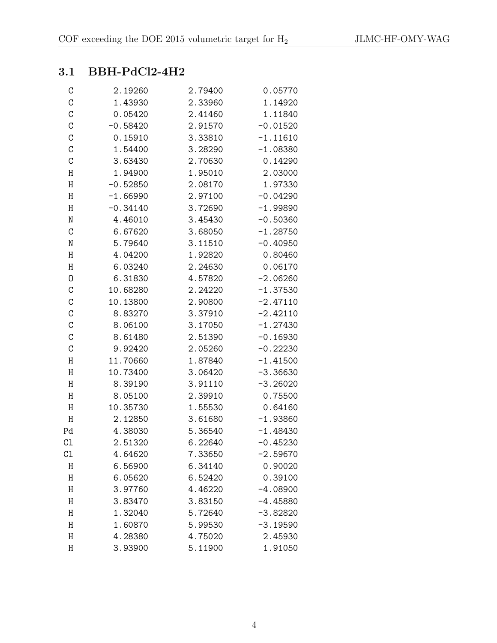#### <span id="page-6-0"></span>3.1 BBH-PdCl2-4H2

| $\mathsf C$   | 2.19260    | 2.79400 | 0.05770    |
|---------------|------------|---------|------------|
| $\mathcal{C}$ | 1.43930    | 2.33960 | 1.14920    |
| $\mathcal{C}$ | 0.05420    | 2.41460 | 1.11840    |
| $\mathcal{C}$ | $-0.58420$ | 2.91570 | $-0.01520$ |
| $\mathcal{C}$ | 0.15910    | 3.33810 | $-1.11610$ |
| $\mathcal{C}$ | 1.54400    | 3.28290 | $-1.08380$ |
| $\mathcal{C}$ | 3.63430    | 2.70630 | 0.14290    |
| $\rm H$       | 1.94900    | 1.95010 | 2.03000    |
| Η             | $-0.52850$ | 2.08170 | 1.97330    |
| Η             | $-1.66990$ | 2.97100 | $-0.04290$ |
| H             | $-0.34140$ | 3.72690 | $-1.99890$ |
| ${\tt N}$     | 4.46010    | 3.45430 | $-0.50360$ |
| $\mathcal{C}$ | 6.67620    | 3.68050 | $-1.28750$ |
| N             | 5.79640    | 3.11510 | $-0.40950$ |
| Η             | 4.04200    | 1.92820 | 0.80460    |
| H             | 6.03240    | 2.24630 | 0.06170    |
| 0             | 6.31830    | 4.57820 | $-2.06260$ |
| $\mathcal{C}$ | 10.68280   | 2.24220 | $-1.37530$ |
| $\mathcal{C}$ | 10.13800   | 2.90800 | $-2.47110$ |
| $\mathcal{C}$ | 8.83270    | 3.37910 | $-2.42110$ |
| $\mathcal{C}$ | 8.06100    | 3.17050 | $-1.27430$ |
| $\mathcal{C}$ | 8.61480    | 2.51390 | $-0.16930$ |
| $\mathcal{C}$ | 9.92420    | 2.05260 | $-0.22230$ |
| Η             | 11.70660   | 1.87840 | $-1.41500$ |
| $\rm H$       | 10.73400   | 3.06420 | $-3.36630$ |
| Η             | 8.39190    | 3.91110 | $-3.26020$ |
| Η             | 8.05100    | 2.39910 | 0.75500    |
| $\rm H$       | 10.35730   | 1.55530 | 0.64160    |
| $\rm H$       | 2.12850    | 3.61680 | $-1.93860$ |
| Pd            | 4.38030    | 5.36540 | $-1.48430$ |
| C1            | 2.51320    | 6.22640 | $-0.45230$ |
| C1            | 4.64620    | 7.33650 | $-2.59670$ |
| Η             | 6.56900    | 6.34140 | 0.90020    |
| Η             | 6.05620    | 6.52420 | 0.39100    |
| Η             | 3.97760    | 4.46220 | $-4.08900$ |
| Η             | 3.83470    | 3.83150 | $-4.45880$ |
| Η             | 1.32040    | 5.72640 | $-3.82820$ |
| Η             | 1.60870    | 5.99530 | $-3.19590$ |
| Η             | 4.28380    | 4.75020 | 2.45930    |
| Η             | 3.93900    | 5.11900 | 1.91050    |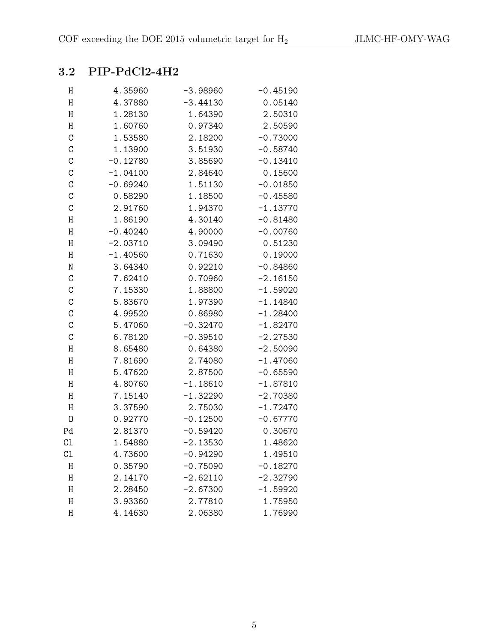### <span id="page-7-0"></span>3.2 PIP-PdCl2-4H2

| Η             | 4.35960    | $-3.98960$ | $-0.45190$ |
|---------------|------------|------------|------------|
| $\rm H$       | 4.37880    | $-3.44130$ | 0.05140    |
| $\rm H$       | 1.28130    | 1.64390    | 2.50310    |
| H             | 1.60760    | 0.97340    | 2.50590    |
| $\mathbf C$   | 1.53580    | 2.18200    | $-0.73000$ |
| $\mathcal{C}$ | 1.13900    | 3.51930    | $-0.58740$ |
| $\mathcal{C}$ | $-0.12780$ | 3.85690    | $-0.13410$ |
| $\mathcal{C}$ | $-1.04100$ | 2.84640    | 0.15600    |
| $\mathcal{C}$ | $-0.69240$ | 1.51130    | $-0.01850$ |
| $\mathcal{C}$ | 0.58290    | 1.18500    | $-0.45580$ |
| $\mathbf C$   | 2.91760    | 1.94370    | $-1.13770$ |
| $\rm H$       | 1.86190    | 4.30140    | $-0.81480$ |
| $\rm H$       | $-0.40240$ | 4.90000    | $-0.00760$ |
| $\rm H$       | $-2.03710$ | 3.09490    | 0.51230    |
| $\rm H$       | $-1.40560$ | 0.71630    | 0.19000    |
| N             | 3.64340    | 0.92210    | $-0.84860$ |
| $\mathbf C$   | 7.62410    | 0.70960    | $-2.16150$ |
| $\mathcal{C}$ | 7.15330    | 1.88800    | $-1.59020$ |
| $\mathcal{C}$ | 5.83670    | 1.97390    | $-1.14840$ |
| $\mathbf C$   | 4.99520    | 0.86980    | $-1.28400$ |
| $\mathbf C$   | 5.47060    | $-0.32470$ | $-1.82470$ |
| $\mathcal{C}$ | 6.78120    | $-0.39510$ | $-2.27530$ |
| H             | 8.65480    | 0.64380    | $-2.50090$ |
| $\rm H$       | 7.81690    | 2.74080    | $-1.47060$ |
| $\rm H$       | 5.47620    | 2.87500    | $-0.65590$ |
| $\rm H$       | 4.80760    | $-1.18610$ | $-1.87810$ |
| $\rm H$       | 7.15140    | $-1.32290$ | $-2.70380$ |
| Η             | 3.37590    | 2.75030    | $-1.72470$ |
| 0             | 0.92770    | $-0.12500$ | $-0.67770$ |
| Pd            | 2.81370    | $-0.59420$ | 0.30670    |
| C1            | 1.54880    | $-2.13530$ | 1.48620    |
| C1            | 4.73600    | $-0.94290$ | 1.49510    |
| Η             | 0.35790    | $-0.75090$ | $-0.18270$ |
| Η             | 2.14170    | $-2.62110$ | $-2.32790$ |
| Η             | 2.28450    | $-2.67300$ | $-1.59920$ |
| Η             | 3.93360    | 2.77810    | 1.75950    |
| Η             | 4.14630    | 2.06380    | 1.76990    |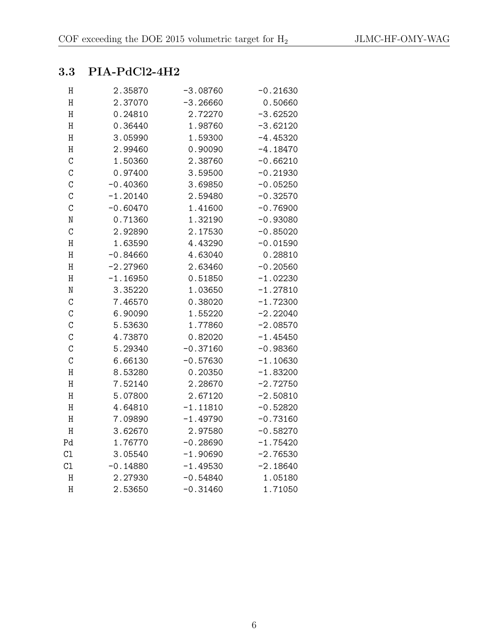#### <span id="page-8-0"></span>3.3 PIA-PdCl2-4H2

| Η              | 2.35870    | $-3.08760$ | $-0.21630$ |
|----------------|------------|------------|------------|
| $\rm H$        | 2.37070    | $-3.26660$ | 0.50660    |
| Η              | 0.24810    | 2.72270    | $-3.62520$ |
| Η              | 0.36440    | 1.98760    | $-3.62120$ |
| Η              | 3.05990    | 1.59300    | $-4.45320$ |
| Η              | 2.99460    | 0.90090    | $-4.18470$ |
| $\mathcal{C}$  | 1.50360    | 2.38760    | $-0.66210$ |
| $\mathcal{C}$  | 0.97400    | 3.59500    | $-0.21930$ |
| $\overline{C}$ | $-0.40360$ | 3.69850    | $-0.05250$ |
| C              | $-1.20140$ | 2.59480    | $-0.32570$ |
| C              | $-0.60470$ | 1.41600    | $-0.76900$ |
| $\mathbf N$    | 0.71360    | 1.32190    | $-0.93080$ |
| $\mathcal{C}$  | 2.92890    | 2.17530    | $-0.85020$ |
| $\rm H$        | 1.63590    | 4.43290    | $-0.01590$ |
| Η              | $-0.84660$ | 4.63040    | 0.28810    |
| Η              | $-2.27960$ | 2.63460    | $-0.20560$ |
| Η              | $-1.16950$ | 0.51850    | $-1.02230$ |
| $\mathbf N$    | 3.35220    | 1.03650    | $-1.27810$ |
| $\mathcal{C}$  | 7.46570    | 0.38020    | $-1.72300$ |
| $\mathcal{C}$  | 6.90090    | 1.55220    | $-2.22040$ |
| C              | 5.53630    | 1.77860    | $-2.08570$ |
| $\mathcal{C}$  | 4.73870    | 0.82020    | $-1.45450$ |
| $\mathcal{C}$  | 5.29340    | $-0.37160$ | $-0.98360$ |
| $\mathcal{C}$  | 6.66130    | $-0.57630$ | $-1.10630$ |
| $\rm H$        | 8.53280    | 0.20350    | $-1.83200$ |
| Η              | 7.52140    | 2.28670    | $-2.72750$ |
| Η              | 5.07800    | 2.67120    | $-2.50810$ |
| $\rm H$        | 4.64810    | $-1.11810$ | $-0.52820$ |
| $\rm H$        | 7.09890    | $-1.49790$ | $-0.73160$ |
| $\rm H$        | 3.62670    | 2.97580    | $-0.58270$ |
| Pd             | 1.76770    | $-0.28690$ | $-1.75420$ |
| C1             | 3.05540    | $-1.90690$ | $-2.76530$ |
| C1             | $-0.14880$ | $-1.49530$ | $-2.18640$ |
| $\rm H$        | 2.27930    | $-0.54840$ | 1.05180    |
| Η              | 2.53650    | $-0.31460$ | 1.71050    |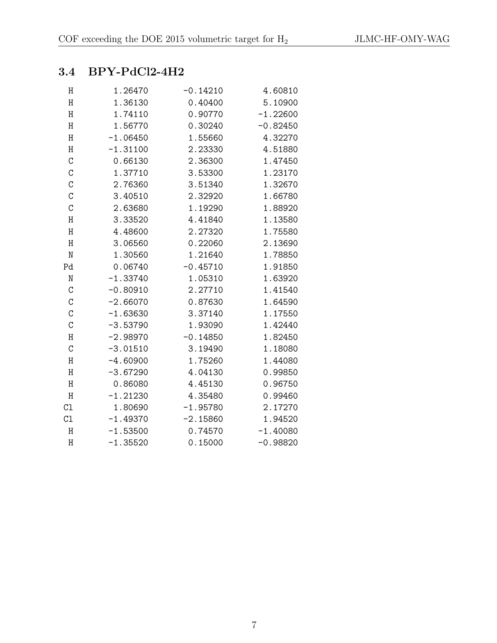#### <span id="page-9-0"></span>3.4 BPY-PdCl2-4H2

| Η             | 1.26470    | $-0.14210$ | 4.60810    |
|---------------|------------|------------|------------|
| Η             | 1.36130    | 0.40400    | 5.10900    |
| $\rm H$       | 1.74110    | 0.90770    | $-1.22600$ |
| $\rm H$       | 1.56770    | 0.30240    | $-0.82450$ |
| Η             | $-1.06450$ | 1.55660    | 4.32270    |
| H             | $-1.31100$ | 2.23330    | 4.51880    |
| $\mathcal{C}$ | 0.66130    | 2.36300    | 1.47450    |
| $\mathcal{C}$ | 1.37710    | 3.53300    | 1.23170    |
| $\mathbf C$   | 2.76360    | 3.51340    | 1.32670    |
| $\mathcal{C}$ | 3.40510    | 2.32920    | 1.66780    |
| $\mathcal{C}$ | 2.63680    | 1.19290    | 1.88920    |
| Η             | 3.33520    | 4.41840    | 1.13580    |
| Η             | 4.48600    | 2.27320    | 1.75580    |
| Η             | 3.06560    | 0.22060    | 2.13690    |
| ${\tt N}$     | 1.30560    | 1.21640    | 1.78850    |
| Pd            | 0.06740    | $-0.45710$ | 1.91850    |
| ${\tt N}$     | $-1.33740$ | 1.05310    | 1.63920    |
| $\mathbf C$   | $-0.80910$ | 2.27710    | 1.41540    |
| $\mathcal{C}$ | $-2.66070$ | 0.87630    | 1.64590    |
| $\mathbf C$   | $-1.63630$ | 3.37140    | 1.17550    |
| $\mathcal{C}$ | $-3.53790$ | 1.93090    | 1.42440    |
| $\rm H$       | $-2.98970$ | $-0.14850$ | 1.82450    |
| $\mathcal{C}$ | $-3.01510$ | 3.19490    | 1.18080    |
| $\rm H$       | $-4.60900$ | 1.75260    | 1.44080    |
| Η             | $-3.67290$ | 4.04130    | 0.99850    |
| $\rm H$       | 0.86080    | 4.45130    | 0.96750    |
| Η             | $-1.21230$ | 4.35480    | 0.99460    |
| C1            | 1.80690    | $-1.95780$ | 2.17270    |
| C1            | $-1.49370$ | $-2.15860$ | 1.94520    |
| H             | $-1.53500$ | 0.74570    | $-1.40080$ |
| Η             | $-1.35520$ | 0.15000    | $-0.98820$ |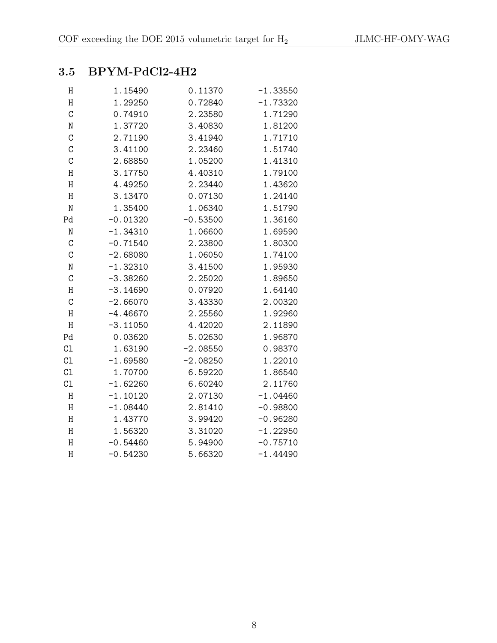### <span id="page-10-0"></span>3.5 BPYM-PdCl2-4H2

| Η             | 1.15490    | 0.11370    | $-1.33550$ |
|---------------|------------|------------|------------|
| Η             | 1.29250    | 0.72840    | $-1.73320$ |
| $\mathcal{C}$ | 0.74910    | 2.23580    | 1.71290    |
| N             | 1.37720    | 3.40830    | 1.81200    |
| $\mathcal{C}$ | 2.71190    | 3.41940    | 1.71710    |
| $\mathcal{C}$ | 3.41100    | 2.23460    | 1.51740    |
| $\mathcal{C}$ | 2.68850    | 1.05200    | 1.41310    |
| Η             | 3.17750    | 4.40310    | 1.79100    |
| $\rm H$       | 4.49250    | 2.23440    | 1.43620    |
| Η             | 3.13470    | 0.07130    | 1.24140    |
| ${\rm N}$     | 1.35400    | 1.06340    | 1.51790    |
| Pd            | $-0.01320$ | $-0.53500$ | 1.36160    |
| N             | $-1.34310$ | 1.06600    | 1.69590    |
| $\mathcal{C}$ | $-0.71540$ | 2.23800    | 1.80300    |
| $\mathcal{C}$ | $-2.68080$ | 1.06050    | 1.74100    |
| $\rm N$       | $-1.32310$ | 3.41500    | 1.95930    |
| $\mathcal{C}$ | $-3.38260$ | 2.25020    | 1.89650    |
| $\rm H$       | $-3.14690$ | 0.07920    | 1.64140    |
| $\mathcal{C}$ | $-2.66070$ | 3.43330    | 2.00320    |
| $\rm H$       | $-4.46670$ | 2.25560    | 1.92960    |
| H             | $-3.11050$ | 4.42020    | 2.11890    |
| Pd            | 0.03620    | 5.02630    | 1.96870    |
| C1            | 1.63190    | $-2.08550$ | 0.98370    |
| C1            | $-1.69580$ | $-2.08250$ | 1.22010    |
| C1            | 1.70700    | 6.59220    | 1.86540    |
| C1            | $-1.62260$ | 6.60240    | 2.11760    |
| $\rm H$       | $-1.10120$ | 2.07130    | $-1.04460$ |
| $\rm H$       | $-1.08440$ | 2.81410    | $-0.98800$ |
| Η             | 1.43770    | 3.99420    | $-0.96280$ |
| Η             | 1.56320    | 3.31020    | $-1.22950$ |
| Η             | $-0.54460$ | 5.94900    | $-0.75710$ |
| Η             | $-0.54230$ | 5.66320    | $-1.44490$ |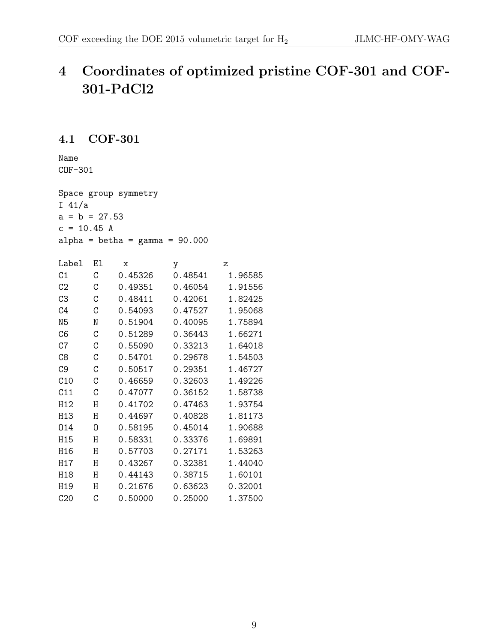### <span id="page-11-0"></span>4 Coordinates of optimized pristine COF-301 and COF-301-PdCl2

#### <span id="page-11-1"></span>4.1 COF-301

Name COF-301

Space group symmetry I 41/a  $a = b = 27.53$  $c = 10.45 A$ alpha = betha =  $gamma = 90.000$ 

| Label           | Εl | X       | у       | z       |
|-----------------|----|---------|---------|---------|
| C <sub>1</sub>  | C  | 0.45326 | 0.48541 | 1.96585 |
| C <sub>2</sub>  | C  | 0.49351 | 0.46054 | 1.91556 |
| C3              | C  | 0.48411 | 0.42061 | 1.82425 |
| C <sub>4</sub>  | C  | 0.54093 | 0.47527 | 1.95068 |
| N <sub>5</sub>  | N  | 0.51904 | 0.40095 | 1.75894 |
| C6              | C  | 0.51289 | 0.36443 | 1.66271 |
| C7              | С  | 0.55090 | 0.33213 | 1.64018 |
| C8              | C  | 0.54701 | 0.29678 | 1.54503 |
| C <sub>9</sub>  | C  | 0.50517 | 0.29351 | 1.46727 |
| C10             | C  | 0.46659 | 0.32603 | 1.49226 |
| C11             | C  | 0.47077 | 0.36152 | 1.58738 |
| H12             | Η  | 0.41702 | 0.47463 | 1.93754 |
| H13             | H  | 0.44697 | 0.40828 | 1.81173 |
| 014             | 0  | 0.58195 | 0.45014 | 1.90688 |
| H15             | H  | 0.58331 | 0.33376 | 1.69891 |
| H <sub>16</sub> | H  | 0.57703 | 0.27171 | 1.53263 |
| H17             | Η  | 0.43267 | 0.32381 | 1.44040 |
| H18             | H  | 0.44143 | 0.38715 | 1.60101 |
| H19             | Η  | 0.21676 | 0.63623 | 0.32001 |
| C20             | С  | 0.50000 | 0.25000 | 1.37500 |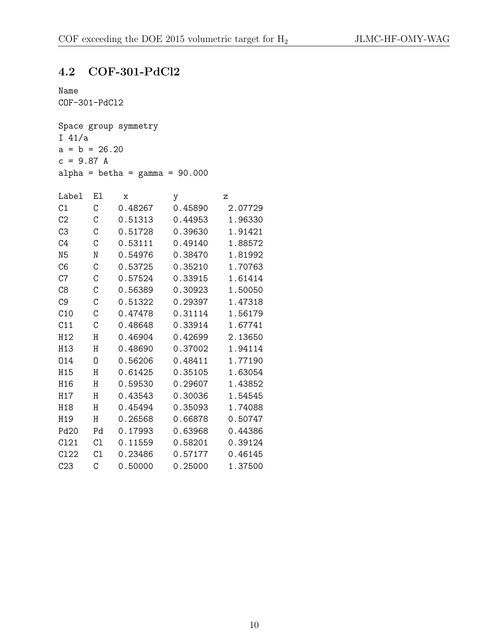#### <span id="page-12-0"></span>4.2 COF-301-PdCl2

```
Name
COF-301-PdCl2
Space group symmetry
I 41/a
a = b = 26.20c = 9.87 Aalpha = betha = gamma = 90.000Label El x y z
```

| C <sub>1</sub>   | С  | 0.48267 | 0.45890 | 2.07729 |
|------------------|----|---------|---------|---------|
| C <sub>2</sub>   | C  | 0.51313 | 0.44953 | 1.96330 |
| C <sub>3</sub>   | С  | 0.51728 | 0.39630 | 1.91421 |
| C <sub>4</sub>   | C  | 0.53111 | 0.49140 | 1.88572 |
| N <sub>5</sub>   | N  | 0.54976 | 0.38470 | 1.81992 |
| C6               | C  | 0.53725 | 0.35210 | 1.70763 |
| C7               | С  | 0.57524 | 0.33915 | 1.61414 |
| C8               | C  | 0.56389 | 0.30923 | 1.50050 |
| C <sub>9</sub>   | C  | 0.51322 | 0.29397 | 1.47318 |
| C10              | С  | 0.47478 | 0.31114 | 1.56179 |
| C11              | C  | 0.48648 | 0.33914 | 1.67741 |
| H12              | Η  | 0.46904 | 0.42699 | 2.13650 |
| H13              | H  | 0.48690 | 0.37002 | 1.94114 |
| 014              | N  | 0.56206 | 0.48411 | 1.77190 |
| H15              | H  | 0.61425 | 0.35105 | 1.63054 |
| H16              | Η  | 0.59530 | 0.29607 | 1.43852 |
| H <sub>17</sub>  | Η  | 0.43543 | 0.30036 | 1.54545 |
| H18              | Η  | 0.45494 | 0.35093 | 1.74088 |
| H <sub>19</sub>  | Η  | 0.26568 | 0.66878 | 0.50747 |
| Pd <sub>20</sub> | Pd | 0.17993 | 0.63968 | 0.44386 |
| C121             | C1 | 0.11559 | 0.58201 | 0.39124 |
| C122             | C1 | 0.23486 | 0.57177 | 0.46145 |
| C23              | C  | 0.50000 | 0.25000 | 1.37500 |